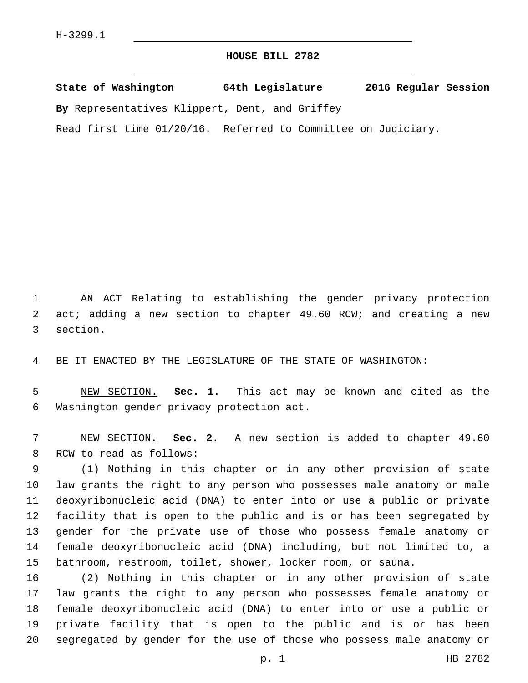## **HOUSE BILL 2782**

**State of Washington 64th Legislature 2016 Regular Session By** Representatives Klippert, Dent, and Griffey

Read first time 01/20/16. Referred to Committee on Judiciary.

 AN ACT Relating to establishing the gender privacy protection 2 act; adding a new section to chapter 49.60 RCW; and creating a new 3 section.

BE IT ENACTED BY THE LEGISLATURE OF THE STATE OF WASHINGTON:

 NEW SECTION. **Sec. 1.** This act may be known and cited as the Washington gender privacy protection act.

 NEW SECTION. **Sec. 2.** A new section is added to chapter 49.60 8 RCW to read as follows:

 (1) Nothing in this chapter or in any other provision of state law grants the right to any person who possesses male anatomy or male deoxyribonucleic acid (DNA) to enter into or use a public or private facility that is open to the public and is or has been segregated by gender for the private use of those who possess female anatomy or female deoxyribonucleic acid (DNA) including, but not limited to, a bathroom, restroom, toilet, shower, locker room, or sauna.

 (2) Nothing in this chapter or in any other provision of state law grants the right to any person who possesses female anatomy or female deoxyribonucleic acid (DNA) to enter into or use a public or private facility that is open to the public and is or has been segregated by gender for the use of those who possess male anatomy or